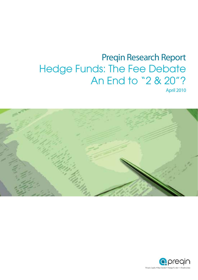

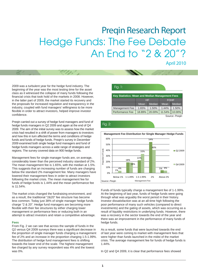April 2010

2009 was a turbulent year for the hedge fund industry. The beginning of the year was the most testing time for the asset class as it witnessed the collapse of many funds following the financial crisis that took hold of the markets in 2008. However, in the latter part of 2009, the market started its recovery and the proposals for increased regulation and transparency in the industry, coupled with fund managers' willingness to be more flexible in order to attract investors, helped improve investor confidence.

Preqin carried out a survey of hedge fund managers and fund of hedge funds managers in Q2 2009 and again at the end of Q4 2009. The aim of the initial survey was to assess how the market crisis had resulted in a shift of power from managers to investors and how this in turn affected the terms and conditions of hedge funds and funds of hedge funds. Preqin's survey in December 2009 examined both single hedge fund managers and fund of hedge funds managers across a wide range of strategies and regions. The survey covered data on 900 hedge funds.

Management fees for single manager funds are, on average, considerably lower than the perceived industry standard of 2%. The mean management fee is 1.65%, with the median at 1.5%. This suggests that an increasing number of funds are charging below the standard 2% management fee. Many managers have lowered their management fees in order to attract investors following the market crisis. The mean management fee for funds of hedge funds is 1.44% and the mean performance fee is 11.54%.

The market crisis changed the fundraising environment, and as a result, the traditional "2&20" fee structure has become less common. Today just 38% of single manager hedge funds charge "2 & 20". Hedge fund managers are becoming more flexible with their fee structures by either charging lower management or performance fees or reducing both in an attempt to attract investors and retain a competitive advantage.

#### **Fees**

From Fig. 2 we can see that across the sample of funds in the Q2 versus Q4 2009 surveys there was a significant decrease in the proportion of single manager funds charging a management fee of 2% and an increase in the proportion charging 1.5-1.99%. The distribution of hedge fund management fees is shifting towards the lower end of the scale. The highest management fee charged by any survey respondent was 4% and the lowest was 0%.

#### Fig. 1:

| Key Statistics: Mean and Median Management Fees |        |               |             |                |  |
|-------------------------------------------------|--------|---------------|-------------|----------------|--|
|                                                 | HF     |               | <b>FOHF</b> |                |  |
|                                                 | Mean   | <b>Median</b> | Mean        | Median         |  |
| <b>Management Fee</b>                           | 1.65%  | 1.50%         | 1.44%       | 1.50%          |  |
| Performance Fee                                 | 18.89% | 20.00%        | 11.54%      | 10.00%         |  |
|                                                 |        |               |             | Source: Pregin |  |

Fig. 2:



Funds of funds typically charge a management fee of 1-1.99%. At the beginning of last year, funds of hedge funds were going through what was arguably the worst period in their history. Investor dissatisfaction was at an all-time high following the poor performance of many such vehicles (compared to direct investments) and the gating of assets, which was occurring as a result of liquidity restrictions in underlying funds. However, there was a recovery in the sector towards the end of the year and there was an improvement in the performance of many funds of hedge funds.

As a result, some funds that were launched towards the end of last year were coming to market with management fees that were higher than funds launched in the midst of the market crisis. The average management fee for funds of hedge funds is 1.44%.

In Q2 and Q4 2009, it is clear that performance fees showed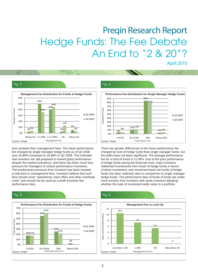#### Fig. 3:



less variation than management fees. The mean performance fee charged by single manager hedge funds as of Q4 2009 was 18.89% compared to 18.88% in Q2 2009. This indicates that investors are still prepared to reward good performance despite the market turbulence, and there has been much less pressure for managers to reduce performance incentives. The predominant pressure from investors has been towards a reduction in management fees. Investors believe that such fees should cover "operational, back office and other overhead costs" and should not be used as a profit incentive like performance fees.

#### Fig. 5:



#### Fig. 4:



There are greater differences in the mean performance fee charged by fund of hedge funds than single manager funds, but the shifts have not been significant. The average performance fee for a fund of funds is 11.58%. Due to the poor performance of hedge funds during the financial crisis, many investors redeemed investments from funds of hedge funds in favour of direct investment, and movement back into funds of hedge funds has been relatively slow in comparison to single manager hedge funds. The performance fees of funds of funds are under more scrutiny from investors with some investors debating whether this type of investment adds value to a portfolio.

### Fig. 6:

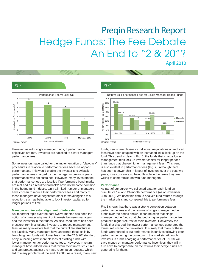#### Fig. 7:



However, as with single manager funds, if performance objectives are met, investors are satisfied to award managers performance fees.

Some investors have called for the implementation of 'clawback' procedures in relation to performance fees because of poor performances. This would enable the investor to clawback performance fees charged by the manager in previous years if performance was not sustained. However, many investors feel that performance fees are justified if performance benchmarks are met and as a result "clawbacks" have not become common in the hedge fund industry. Only a limited number of managers have chosen to reduce their performance fees and many of these managers have negotiated other terms alongside this reduction, such as being able to lock investor capital up for longer periods of time.

#### **Manager and investor alignment of interests**

An important topic over the past twelve months has been the notion of a greater alignment of interests between managers and the investors in their funds. As discussed, there has been pressure from institutional investors to reduce management fees, as many investors feel that the current fee structure is not justified. Many managers have answered these calls by launching new funds with lower fees than the "2 & 20" standard or by launching new share classes of existing funds with lower management or performance fees. However, in return, managers have added terms that favour their fund's structures and can protect against the mass redemption requests which led to many problems at the end of 2008. As a result, many new

#### Fig. 8:



funds, new share classes or individual negotiations on reduced fees have been coupled with an increased initial lock-up on the fund. This trend is clear in Fig. 6: the funds that charge lower management fees lock up investor capital for longer periods than funds that charge higher management fees. This trend is also evident in performance fees (Fig. 7). Although there has been a power shift in favour of investors over the past two years, investors are also being flexible in the terms they are willing to compromise on with fund managers.

#### **Performance**

As part of our survey we collected data for each fund on cumulative 12- and 24-month performance (as of November 30th 2009). We used this data to analyze fund returns through the market crisis and compared this to performance fees.

Fig. 8 shows that there was a strong correlation between performance fees and the returns of single manager hedge funds over the period shown. It can be seen that single manager hedge funds that charged a higher performance fee. produced higher returns for their investors. Conversely the funds that charged the lowest performance fees generated the lowest returns for their investors. It is likely that many of these funds were forced to cut performance incentives following poor performance during the downturn in the markets. Although investors in funds charging a performance fee of 0-9.9% will save money on manager performance incentives, they will in turn have to compromise on the returns their hedge funds are generating for them.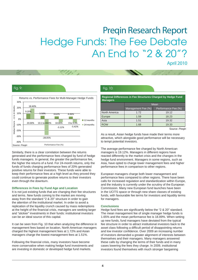#### Fig. 9:



Similarly, there is a clear correlation between the returns generated and the performance fees charged by fund of hedge funds managers. In general, the greater the performance fee, the higher the returns of a fund. For 24-month returns, only the funds of funds charging performance fees of 20% generated positive returns for their investors. These funds were able to keep their performance fees at a high level as they proved they could continue to generate positive returns to their investors even through the downturn.

#### **Differences in Fees by Fund Age and Location**

It is not just existing funds that are changing their fee structures and terms. New funds coming to the market are moving away from the standard "2 & 20" structure in order to gain the attention of the institutional market. In order to avoid a replication of the liquidity crunch caused by mass redemptions at the height of the financial crisis, managers are seeking larger and "stickier" investments in their funds: institutional investors can be an ideal source of this capital.

It can be seen from Fig. 10 that when analyzing the difference in management fees based on location, North American managers charged the highest management fees at 1.72% and Asian managers charge the lowest management fees at 1.51%.

Following the financial crisis, many investors have become more conservative when making hedge fund investments and are investing in domestic or developed hedge fund markets.

#### Fig. 10:

**Regional Differences in Fee Structures Charged by Hedge Fund Managers**

|               | Mean               |                     |  |  |
|---------------|--------------------|---------------------|--|--|
|               | Management Fee (%) | Performance Fee (%) |  |  |
| North America | 1.72               | 19.12               |  |  |
| Europe        | 1.59               | 18.23               |  |  |
| Asia          | 1.51               | 19.32               |  |  |
| <b>ROW</b>    | 1.68               | 19.33               |  |  |

Source: Preqin

As a result, Asian hedge funds have made their terms more attractive, which alongside good performance will be necessary to tempt potential investors.

The average performance fee charged by North American managers is 19.12%. Managers in different regions have reacted differently to the market crisis and the changes in the hedge fund environment. Managers in some regions, such as Asia, have opted to charge lower management fees and higher performance fees in comparison to other regions.

European managers charge both lower management and performance fees compared to other regions. There have been calls for increased regulation and standardization within Europe, and the industry is currently under the scrutiny of the European Commission. Many new European fund launches have been in the UCITS space or through new share classes of existing funds, with favourable fee terms for investors and liquidity terms for managers.

#### **Conclusions**

Hedge fund fees are significantly below the "2 & 20" standard. The mean management fee of single manager hedge funds is 1.65% and the mean performance fee is 18.89%. When setting up new funds, fund managers have deviated from the typical fee structure in order to attract institutional investors back to the asset class following a difficult period of disappointing returns and low investor confidence. Over 2009 an increasing number of investors demanded a greater alignment of interests between themselves and their managers. Many managers answered these calls by changing the terms of their funds and in many cases lowering the fees they charge. In 2009, institutional investors found themselves with much stronger bargaining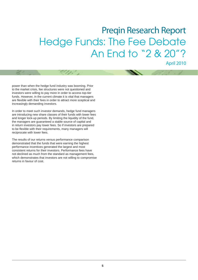April 2010

power than when the hedge fund industry was booming. Prior to the market crisis, fee structures were not questioned and investors were willing to pay more in order to access top-tier funds. However, in the current climate it is vital that managers are flexible with their fees in order to attract more sceptical and increasingly demanding investors.

In order to meet such investor demands, hedge fund managers are introducing new share classes of their funds with lower fees and longer lock-up periods. By limiting the liquidity of the fund, the managers are guaranteed a stable source of capital and in return investors pay lower fees. So if investors are prepared to be flexible with their requirements, many managers will reciprocate with lower fees.

The results of our returns versus performance comparison demonstrated that the funds that were earning the highest performance incentives generated the largest and most consistent returns for their investors. Performance fees have not declined as much from the standard as management fees, which demonstrates that investors are not willing to compromise returns in favour of cost.